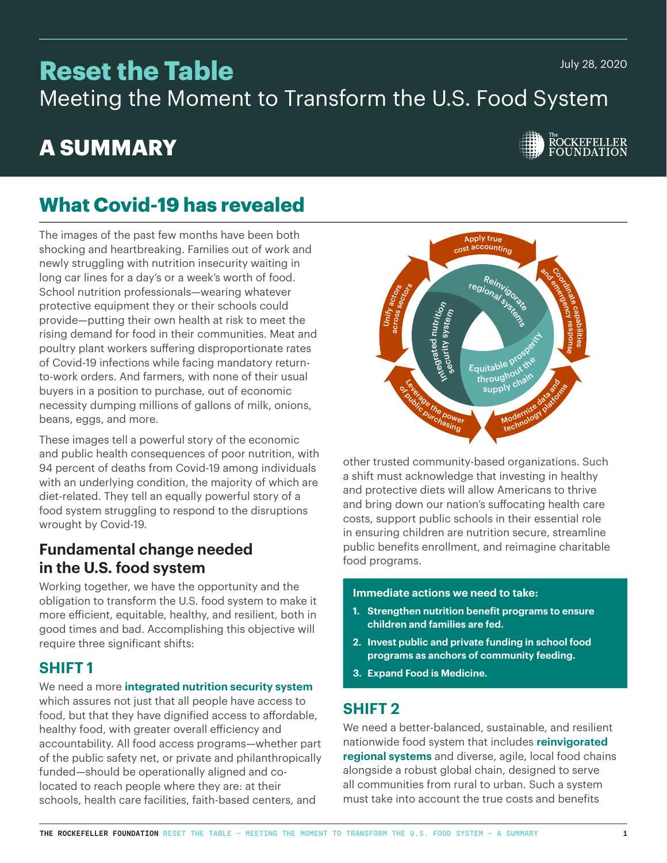July 28, 2020

# **Reset the Table**

Meeting the Moment to Transform the U.S. Food System

# **A SUMMARY**



# **What Covid-19 has revealed**

The images of the past few months have been both shocking and heartbreaking. Families out of work and newly struggling with nutrition insecurity waiting in long car lines for a day's or a week's worth of food. School nutrition professionals—wearing whatever protective equipment they or their schools could provide—putting their own health at risk to meet the rising demand for food in their communities. Meat and poultry plant workers suffering disproportionate rates of Covid-19 infections while facing mandatory returnto-work orders. And farmers, with none of their usual buyers in a position to purchase, out of economic necessity dumping millions of gallons of milk, onions, beans, eggs, and more.

These images tell a powerful story of the economic and public health consequences of poor nutrition, with 94 percent of deaths from Covid-19 among individuals with an underlying condition, the majority of which are diet-related. They tell an equally powerful story of a food system struggling to respond to the disruptions wrought by Covid-19.

# **Fundamental change needed in the U.S. food system**

Working together, we have the opportunity and the obligation to transform the U.S. food system to make it more eficient, equitable, healthy, and resilient, both in good times and bad. Accomplishing this objective will require three significant shifts:

# **SHIFT 1**

We need a more **integrated nutrition security system** which assures not just that all people have access to food, but that they have dignified access to affordable, healthy food, with greater overall eficiency and accountability. All food access programs—whether part of the public safety net, or private and philanthropically funded—should be operationally aligned and colocated to reach people where they are: at their schools, health care facilities, faith-based centers, and



other trusted community-based organizations. Such a shift must acknowledge that investing in healthy and protective diets will allow Americans to thrive and bring down our nation's suffocating health care costs, support public schools in their essential role in ensuring children are nutrition secure, streamline public benefits enrollment, and reimagine charitable food programs.

#### **Immediate actions we need to take:**

- **1. Strengthen nutrition benefit programs to ensure children and families are fed.**
- **2. Invest public and private funding in school food programs as anchors of community feeding.**
- **3. Expand Food is Medicine.**

# **SHIFT 2**

We need a better-balanced, sustainable, and resilient nationwide food system that includes **reinvigorated regional systems** and diverse, agile, local food chains alongside a robust global chain, designed to serve all communities from rural to urban. Such a system must take into account the true costs and benefits